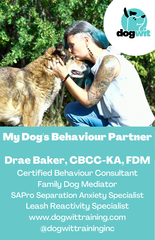

## My Dog's Behaviour Partner

## Drae Baker, CBCC-KA, FDM

Certified Behaviour Consultant Family Dog Mediator SAPro Separation Anxiety Specialist Leash Reactivity Specialist www.dogwittraining.com @dogwittraininginc